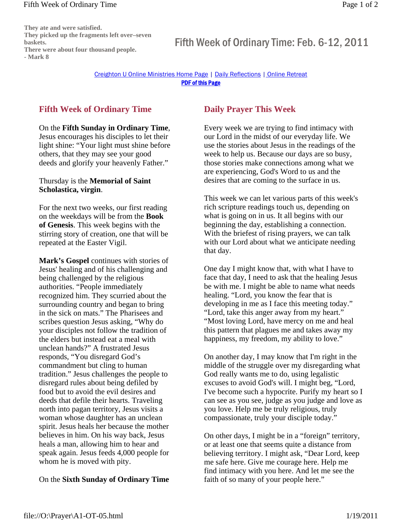#### Fifth Week of Ordinary Time Page 1 of 2

Creighton U Online Ministries Home Page | Daily Reflections | Online Retreat PDF of this Page

# **Fifth Week of Ordinary Time**

### On the **Fifth Sunday in Ordinary Time**,

Jesus encourages his disciples to let their light shine: "Your light must shine before others, that they may see your good deeds and glorify your heavenly Father."

### Thursday is the **Memorial of Saint Scholastica, virgin**.

For the next two weeks, our first reading on the weekdays will be from the **Book of Genesis**. This week begins with the stirring story of creation, one that will be repeated at the Easter Vigil.

**Mark's Gospel** continues with stories of Jesus' healing and of his challenging and being challenged by the religious authorities. "People immediately recognized him. They scurried about the surrounding country and began to bring in the sick on mats." The Pharisees and scribes question Jesus asking, "Why do your disciples not follow the tradition of the elders but instead eat a meal with unclean hands?" A frustrated Jesus responds, "You disregard God's commandment but cling to human tradition." Jesus challenges the people to disregard rules about being defiled by food but to avoid the evil desires and deeds that defile their hearts. Traveling north into pagan territory, Jesus visits a woman whose daughter has an unclean spirit. Jesus heals her because the mother believes in him. On his way back, Jesus heals a man, allowing him to hear and speak again. Jesus feeds 4,000 people for whom he is moved with pity.

## On the **Sixth Sunday of Ordinary Time**

# **Daily Prayer This Week**

Every week we are trying to find intimacy with our Lord in the midst of our everyday life. We use the stories about Jesus in the readings of the week to help us. Because our days are so busy, those stories make connections among what we are experiencing, God's Word to us and the desires that are coming to the surface in us.

This week we can let various parts of this week's rich scripture readings touch us, depending on what is going on in us. It all begins with our beginning the day, establishing a connection. With the briefest of rising prayers, we can talk with our Lord about what we anticipate needing that day.

One day I might know that, with what I have to face that day, I need to ask that the healing Jesus be with me. I might be able to name what needs healing. "Lord, you know the fear that is developing in me as I face this meeting today." "Lord, take this anger away from my heart." "Most loving Lord, have mercy on me and heal this pattern that plagues me and takes away my happiness, my freedom, my ability to love."

On another day, I may know that I'm right in the middle of the struggle over my disregarding what God really wants me to do, using legalistic excuses to avoid God's will. I might beg, "Lord, I've become such a hypocrite. Purify my heart so I can see as you see, judge as you judge and love as you love. Help me be truly religious, truly compassionate, truly your disciple today."

On other days, I might be in a "foreign" territory, or at least one that seems quite a distance from believing territory. I might ask, "Dear Lord, keep me safe here. Give me courage here. Help me find intimacy with you here. And let me see the faith of so many of your people here."